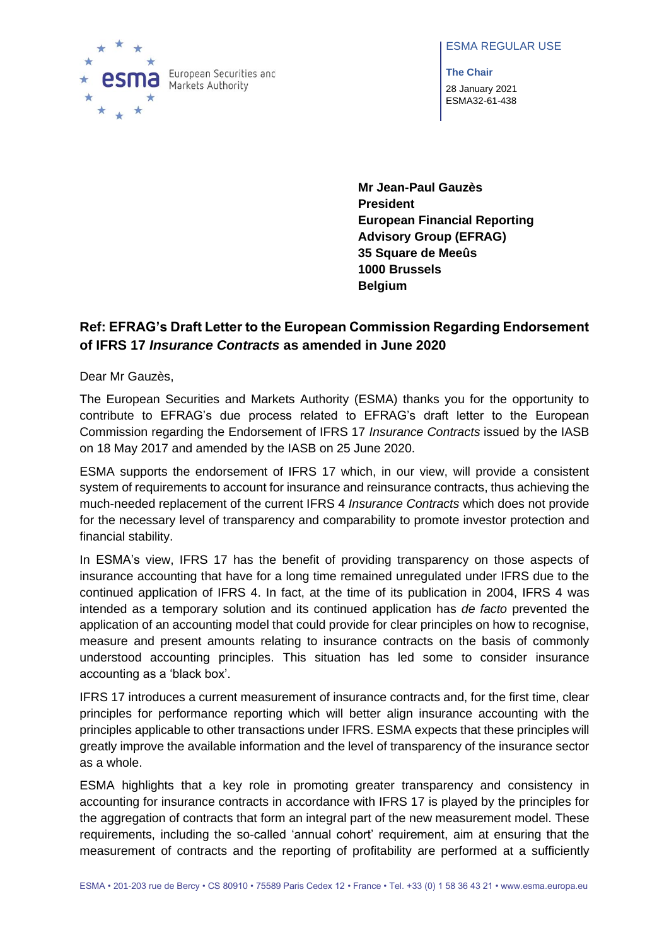#### ESMA REGULAR USE



**The Chair** 28 January 2021 ESMA32-61-438

**Mr Jean-Paul Gauzès President European Financial Reporting Advisory Group (EFRAG) 35 Square de Meeûs 1000 Brussels Belgium**

# **Ref: EFRAG's Draft Letter to the European Commission Regarding Endorsement of IFRS 17** *Insurance Contracts* **as amended in June 2020**

Dear Mr Gauzès,

The European Securities and Markets Authority (ESMA) thanks you for the opportunity to contribute to EFRAG's due process related to EFRAG's draft letter to the European Commission regarding the Endorsement of IFRS 17 *Insurance Contracts* issued by the IASB on 18 May 2017 and amended by the IASB on 25 June 2020.

ESMA supports the endorsement of IFRS 17 which, in our view, will provide a consistent system of requirements to account for insurance and reinsurance contracts, thus achieving the much-needed replacement of the current IFRS 4 *Insurance Contracts* which does not provide for the necessary level of transparency and comparability to promote investor protection and financial stability.

In ESMA's view, IFRS 17 has the benefit of providing transparency on those aspects of insurance accounting that have for a long time remained unregulated under IFRS due to the continued application of IFRS 4. In fact, at the time of its publication in 2004, IFRS 4 was intended as a temporary solution and its continued application has *de facto* prevented the application of an accounting model that could provide for clear principles on how to recognise, measure and present amounts relating to insurance contracts on the basis of commonly understood accounting principles. This situation has led some to consider insurance accounting as a 'black box'.

IFRS 17 introduces a current measurement of insurance contracts and, for the first time, clear principles for performance reporting which will better align insurance accounting with the principles applicable to other transactions under IFRS. ESMA expects that these principles will greatly improve the available information and the level of transparency of the insurance sector as a whole.

ESMA highlights that a key role in promoting greater transparency and consistency in accounting for insurance contracts in accordance with IFRS 17 is played by the principles for the aggregation of contracts that form an integral part of the new measurement model. These requirements, including the so-called 'annual cohort' requirement, aim at ensuring that the measurement of contracts and the reporting of profitability are performed at a sufficiently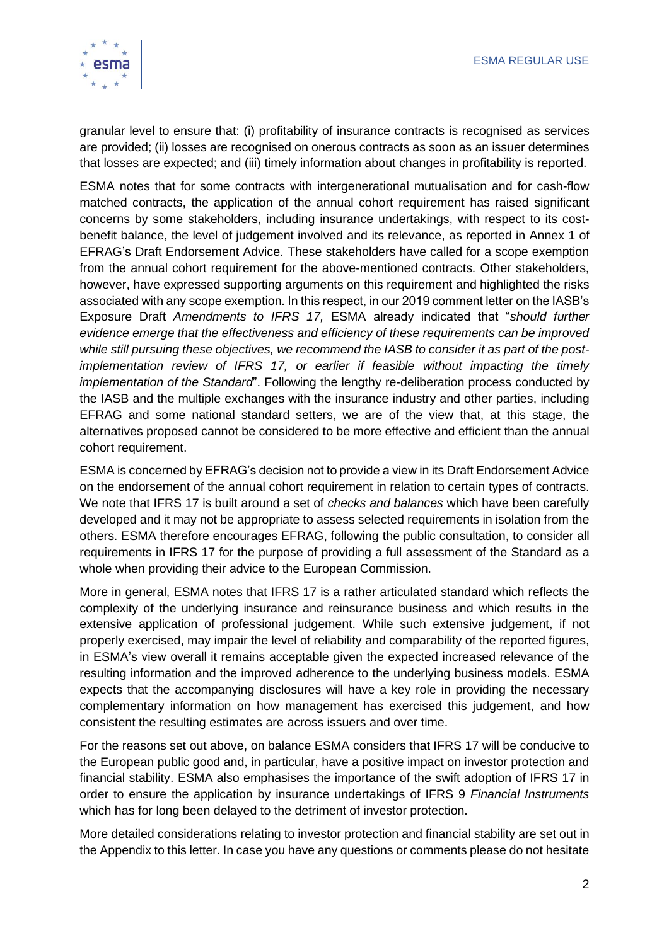

granular level to ensure that: (i) profitability of insurance contracts is recognised as services are provided; (ii) losses are recognised on onerous contracts as soon as an issuer determines that losses are expected; and (iii) timely information about changes in profitability is reported.

ESMA notes that for some contracts with intergenerational mutualisation and for cash-flow matched contracts, the application of the annual cohort requirement has raised significant concerns by some stakeholders, including insurance undertakings, with respect to its costbenefit balance, the level of judgement involved and its relevance, as reported in Annex 1 of EFRAG's Draft Endorsement Advice. These stakeholders have called for a scope exemption from the annual cohort requirement for the above-mentioned contracts. Other stakeholders, however, have expressed supporting arguments on this requirement and highlighted the risks associated with any scope exemption. In this respect, in our 2019 comment letter on the IASB's Exposure Draft *Amendments to IFRS 17,* ESMA already indicated that "*should further evidence emerge that the effectiveness and efficiency of these requirements can be improved while still pursuing these objectives, we recommend the IASB to consider it as part of the postimplementation review of IFRS 17, or earlier if feasible without impacting the timely implementation of the Standard*". Following the lengthy re-deliberation process conducted by the IASB and the multiple exchanges with the insurance industry and other parties, including EFRAG and some national standard setters, we are of the view that, at this stage, the alternatives proposed cannot be considered to be more effective and efficient than the annual cohort requirement.

ESMA is concerned by EFRAG's decision not to provide a view in its Draft Endorsement Advice on the endorsement of the annual cohort requirement in relation to certain types of contracts. We note that IFRS 17 is built around a set of *checks and balances* which have been carefully developed and it may not be appropriate to assess selected requirements in isolation from the others. ESMA therefore encourages EFRAG, following the public consultation, to consider all requirements in IFRS 17 for the purpose of providing a full assessment of the Standard as a whole when providing their advice to the European Commission.

More in general, ESMA notes that IFRS 17 is a rather articulated standard which reflects the complexity of the underlying insurance and reinsurance business and which results in the extensive application of professional judgement. While such extensive judgement, if not properly exercised, may impair the level of reliability and comparability of the reported figures, in ESMA's view overall it remains acceptable given the expected increased relevance of the resulting information and the improved adherence to the underlying business models. ESMA expects that the accompanying disclosures will have a key role in providing the necessary complementary information on how management has exercised this judgement, and how consistent the resulting estimates are across issuers and over time.

For the reasons set out above, on balance ESMA considers that IFRS 17 will be conducive to the European public good and, in particular, have a positive impact on investor protection and financial stability. ESMA also emphasises the importance of the swift adoption of IFRS 17 in order to ensure the application by insurance undertakings of IFRS 9 *Financial Instruments* which has for long been delayed to the detriment of investor protection.

More detailed considerations relating to investor protection and financial stability are set out in the Appendix to this letter. In case you have any questions or comments please do not hesitate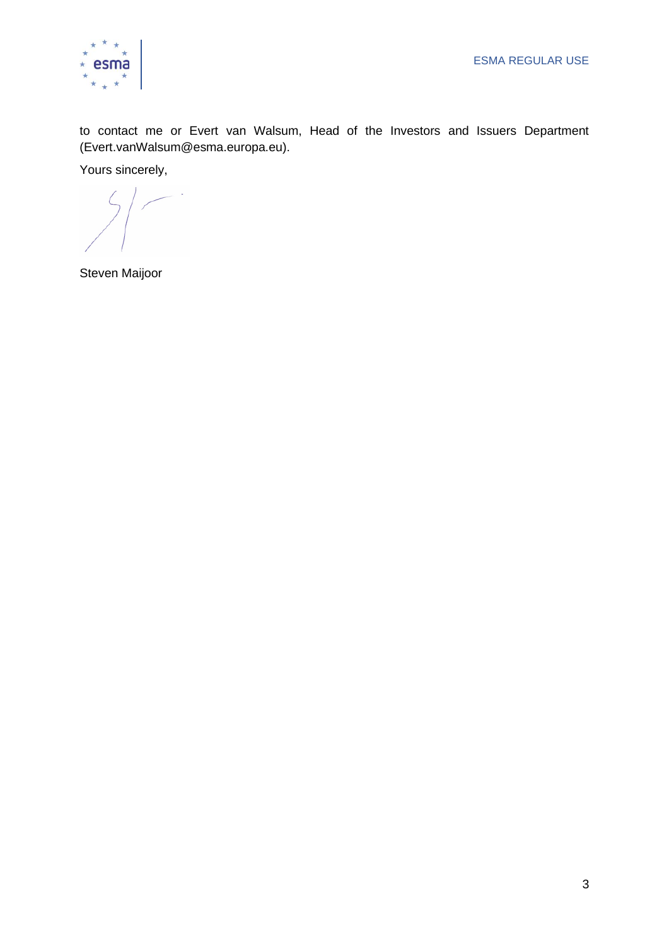

to contact me or Evert van Walsum, Head of the Investors and Issuers Department [\(Evert.vanWalsum@esma.europa.eu\)](mailto:Evert.vanWalsum@esma.europa.eu).

Yours sincerely,

Steven Maijoor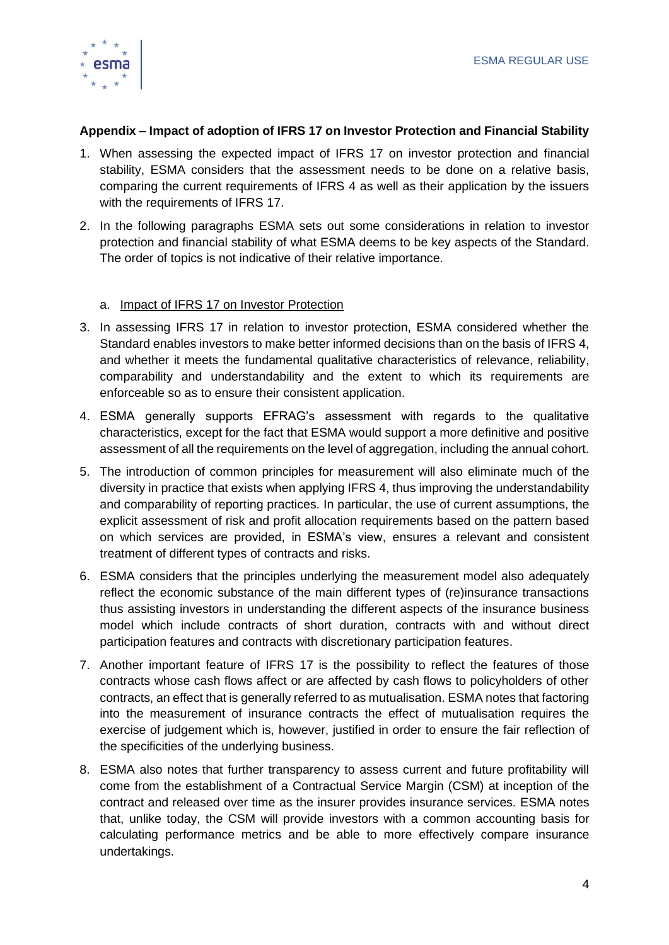

### **Appendix – Impact of adoption of IFRS 17 on Investor Protection and Financial Stability**

- 1. When assessing the expected impact of IFRS 17 on investor protection and financial stability, ESMA considers that the assessment needs to be done on a relative basis, comparing the current requirements of IFRS 4 as well as their application by the issuers with the requirements of IFRS 17.
- 2. In the following paragraphs ESMA sets out some considerations in relation to investor protection and financial stability of what ESMA deems to be key aspects of the Standard. The order of topics is not indicative of their relative importance.

## a. Impact of IFRS 17 on Investor Protection

- 3. In assessing IFRS 17 in relation to investor protection, ESMA considered whether the Standard enables investors to make better informed decisions than on the basis of IFRS 4, and whether it meets the fundamental qualitative characteristics of relevance, reliability, comparability and understandability and the extent to which its requirements are enforceable so as to ensure their consistent application.
- 4. ESMA generally supports EFRAG's assessment with regards to the qualitative characteristics, except for the fact that ESMA would support a more definitive and positive assessment of all the requirements on the level of aggregation, including the annual cohort.
- 5. The introduction of common principles for measurement will also eliminate much of the diversity in practice that exists when applying IFRS 4, thus improving the understandability and comparability of reporting practices. In particular, the use of current assumptions, the explicit assessment of risk and profit allocation requirements based on the pattern based on which services are provided, in ESMA's view, ensures a relevant and consistent treatment of different types of contracts and risks.
- 6. ESMA considers that the principles underlying the measurement model also adequately reflect the economic substance of the main different types of (re)insurance transactions thus assisting investors in understanding the different aspects of the insurance business model which include contracts of short duration, contracts with and without direct participation features and contracts with discretionary participation features.
- 7. Another important feature of IFRS 17 is the possibility to reflect the features of those contracts whose cash flows affect or are affected by cash flows to policyholders of other contracts, an effect that is generally referred to as mutualisation. ESMA notes that factoring into the measurement of insurance contracts the effect of mutualisation requires the exercise of judgement which is, however, justified in order to ensure the fair reflection of the specificities of the underlying business.
- 8. ESMA also notes that further transparency to assess current and future profitability will come from the establishment of a Contractual Service Margin (CSM) at inception of the contract and released over time as the insurer provides insurance services. ESMA notes that, unlike today, the CSM will provide investors with a common accounting basis for calculating performance metrics and be able to more effectively compare insurance undertakings.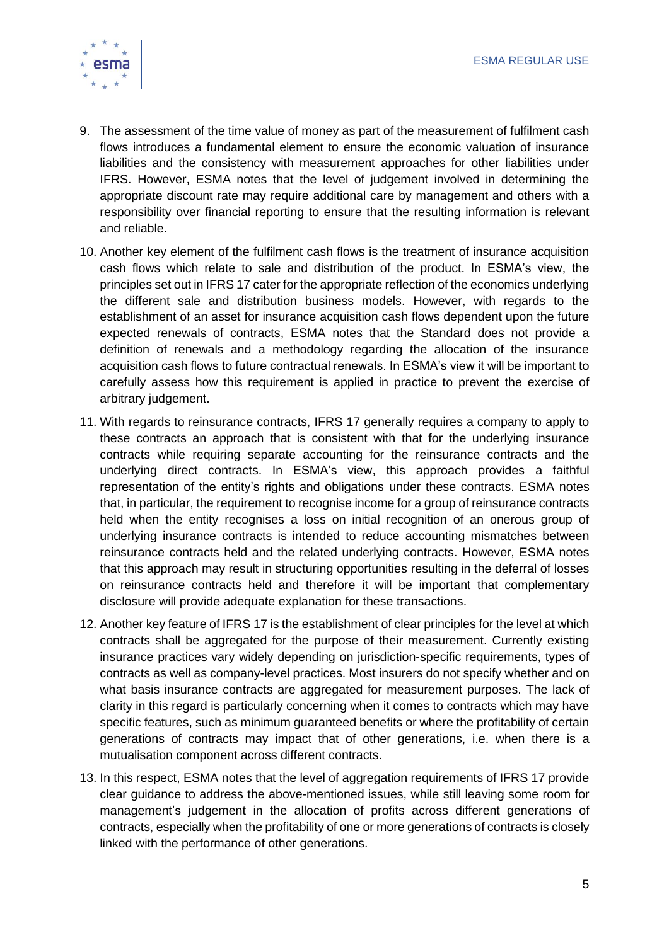

- 9. The assessment of the time value of money as part of the measurement of fulfilment cash flows introduces a fundamental element to ensure the economic valuation of insurance liabilities and the consistency with measurement approaches for other liabilities under IFRS. However, ESMA notes that the level of judgement involved in determining the appropriate discount rate may require additional care by management and others with a responsibility over financial reporting to ensure that the resulting information is relevant and reliable.
- 10. Another key element of the fulfilment cash flows is the treatment of insurance acquisition cash flows which relate to sale and distribution of the product. In ESMA's view, the principles set out in IFRS 17 cater for the appropriate reflection of the economics underlying the different sale and distribution business models. However, with regards to the establishment of an asset for insurance acquisition cash flows dependent upon the future expected renewals of contracts, ESMA notes that the Standard does not provide a definition of renewals and a methodology regarding the allocation of the insurance acquisition cash flows to future contractual renewals. In ESMA's view it will be important to carefully assess how this requirement is applied in practice to prevent the exercise of arbitrary judgement.
- 11. With regards to reinsurance contracts, IFRS 17 generally requires a company to apply to these contracts an approach that is consistent with that for the underlying insurance contracts while requiring separate accounting for the reinsurance contracts and the underlying direct contracts. In ESMA's view, this approach provides a faithful representation of the entity's rights and obligations under these contracts. ESMA notes that, in particular, the requirement to recognise income for a group of reinsurance contracts held when the entity recognises a loss on initial recognition of an onerous group of underlying insurance contracts is intended to reduce accounting mismatches between reinsurance contracts held and the related underlying contracts. However, ESMA notes that this approach may result in structuring opportunities resulting in the deferral of losses on reinsurance contracts held and therefore it will be important that complementary disclosure will provide adequate explanation for these transactions.
- 12. Another key feature of IFRS 17 is the establishment of clear principles for the level at which contracts shall be aggregated for the purpose of their measurement. Currently existing insurance practices vary widely depending on jurisdiction-specific requirements, types of contracts as well as company-level practices. Most insurers do not specify whether and on what basis insurance contracts are aggregated for measurement purposes. The lack of clarity in this regard is particularly concerning when it comes to contracts which may have specific features, such as minimum guaranteed benefits or where the profitability of certain generations of contracts may impact that of other generations, i.e. when there is a mutualisation component across different contracts.
- 13. In this respect, ESMA notes that the level of aggregation requirements of IFRS 17 provide clear guidance to address the above-mentioned issues, while still leaving some room for management's judgement in the allocation of profits across different generations of contracts, especially when the profitability of one or more generations of contracts is closely linked with the performance of other generations.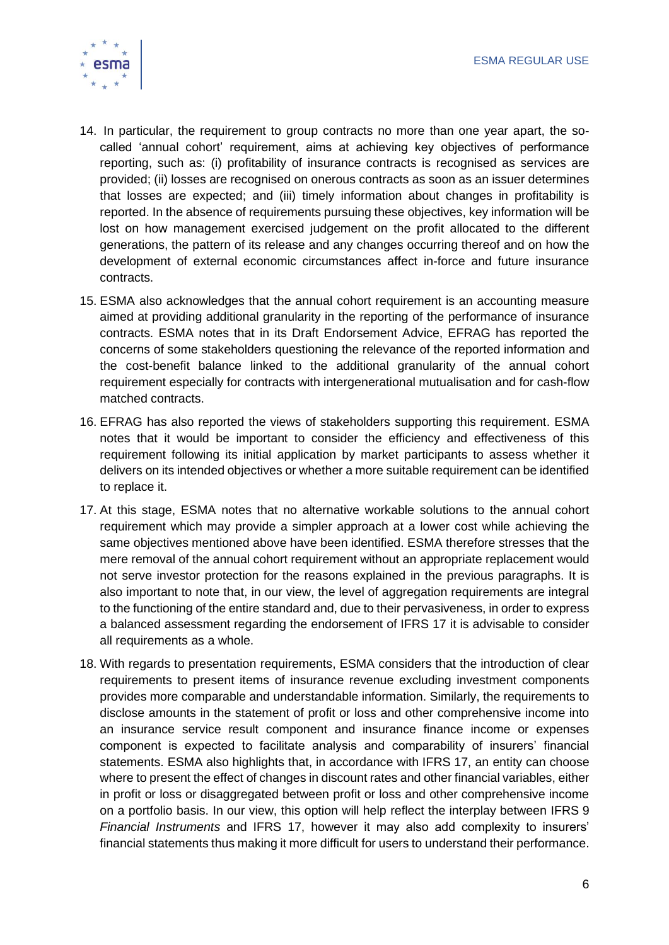

- 14. In particular, the requirement to group contracts no more than one year apart, the socalled 'annual cohort' requirement, aims at achieving key objectives of performance reporting, such as: (i) profitability of insurance contracts is recognised as services are provided; (ii) losses are recognised on onerous contracts as soon as an issuer determines that losses are expected; and (iii) timely information about changes in profitability is reported. In the absence of requirements pursuing these objectives, key information will be lost on how management exercised judgement on the profit allocated to the different generations, the pattern of its release and any changes occurring thereof and on how the development of external economic circumstances affect in-force and future insurance contracts.
- 15. ESMA also acknowledges that the annual cohort requirement is an accounting measure aimed at providing additional granularity in the reporting of the performance of insurance contracts. ESMA notes that in its Draft Endorsement Advice, EFRAG has reported the concerns of some stakeholders questioning the relevance of the reported information and the cost-benefit balance linked to the additional granularity of the annual cohort requirement especially for contracts with intergenerational mutualisation and for cash-flow matched contracts.
- 16. EFRAG has also reported the views of stakeholders supporting this requirement. ESMA notes that it would be important to consider the efficiency and effectiveness of this requirement following its initial application by market participants to assess whether it delivers on its intended objectives or whether a more suitable requirement can be identified to replace it.
- 17. At this stage, ESMA notes that no alternative workable solutions to the annual cohort requirement which may provide a simpler approach at a lower cost while achieving the same objectives mentioned above have been identified. ESMA therefore stresses that the mere removal of the annual cohort requirement without an appropriate replacement would not serve investor protection for the reasons explained in the previous paragraphs. It is also important to note that, in our view, the level of aggregation requirements are integral to the functioning of the entire standard and, due to their pervasiveness, in order to express a balanced assessment regarding the endorsement of IFRS 17 it is advisable to consider all requirements as a whole.
- 18. With regards to presentation requirements, ESMA considers that the introduction of clear requirements to present items of insurance revenue excluding investment components provides more comparable and understandable information. Similarly, the requirements to disclose amounts in the statement of profit or loss and other comprehensive income into an insurance service result component and insurance finance income or expenses component is expected to facilitate analysis and comparability of insurers' financial statements. ESMA also highlights that, in accordance with IFRS 17, an entity can choose where to present the effect of changes in discount rates and other financial variables, either in profit or loss or disaggregated between profit or loss and other comprehensive income on a portfolio basis. In our view, this option will help reflect the interplay between IFRS 9 *Financial Instruments* and IFRS 17, however it may also add complexity to insurers' financial statements thus making it more difficult for users to understand their performance.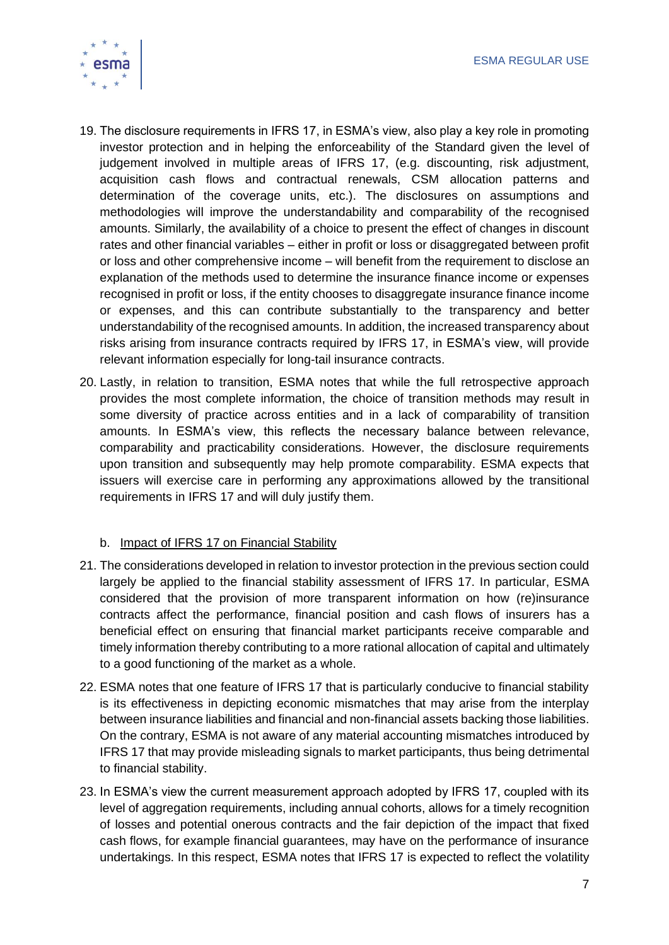

- 19. The disclosure requirements in IFRS 17, in ESMA's view, also play a key role in promoting investor protection and in helping the enforceability of the Standard given the level of judgement involved in multiple areas of IFRS 17, (e.g. discounting, risk adjustment, acquisition cash flows and contractual renewals, CSM allocation patterns and determination of the coverage units, etc.). The disclosures on assumptions and methodologies will improve the understandability and comparability of the recognised amounts. Similarly, the availability of a choice to present the effect of changes in discount rates and other financial variables – either in profit or loss or disaggregated between profit or loss and other comprehensive income – will benefit from the requirement to disclose an explanation of the methods used to determine the insurance finance income or expenses recognised in profit or loss, if the entity chooses to disaggregate insurance finance income or expenses, and this can contribute substantially to the transparency and better understandability of the recognised amounts. In addition, the increased transparency about risks arising from insurance contracts required by IFRS 17, in ESMA's view, will provide relevant information especially for long-tail insurance contracts.
- 20. Lastly, in relation to transition, ESMA notes that while the full retrospective approach provides the most complete information, the choice of transition methods may result in some diversity of practice across entities and in a lack of comparability of transition amounts. In ESMA's view, this reflects the necessary balance between relevance, comparability and practicability considerations. However, the disclosure requirements upon transition and subsequently may help promote comparability. ESMA expects that issuers will exercise care in performing any approximations allowed by the transitional requirements in IFRS 17 and will duly justify them.

#### b. Impact of IFRS 17 on Financial Stability

- 21. The considerations developed in relation to investor protection in the previous section could largely be applied to the financial stability assessment of IFRS 17. In particular, ESMA considered that the provision of more transparent information on how (re)insurance contracts affect the performance, financial position and cash flows of insurers has a beneficial effect on ensuring that financial market participants receive comparable and timely information thereby contributing to a more rational allocation of capital and ultimately to a good functioning of the market as a whole.
- 22. ESMA notes that one feature of IFRS 17 that is particularly conducive to financial stability is its effectiveness in depicting economic mismatches that may arise from the interplay between insurance liabilities and financial and non-financial assets backing those liabilities. On the contrary, ESMA is not aware of any material accounting mismatches introduced by IFRS 17 that may provide misleading signals to market participants, thus being detrimental to financial stability.
- 23. In ESMA's view the current measurement approach adopted by IFRS 17, coupled with its level of aggregation requirements, including annual cohorts, allows for a timely recognition of losses and potential onerous contracts and the fair depiction of the impact that fixed cash flows, for example financial guarantees, may have on the performance of insurance undertakings. In this respect, ESMA notes that IFRS 17 is expected to reflect the volatility